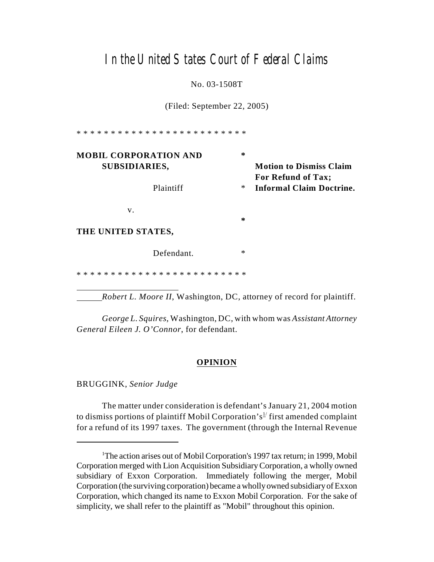# In the United States Court of Federal Claims

No. 03-1508T

(Filed: September 22, 2005)

\* \* \* \* \* \* \* \* \* \* \* \* \* \* \* \* \* \* \* \* \* \* \* \* \* **MOBIL CORPORATION AND \* SUBSIDIARIES, Motion to Dismiss Claim For Refund of Tax;** Plaintiff \* **Informal Claim Doctrine.** v.  **\* THE UNITED STATES,** Defendant. \* \* \* \* \* \* \* \* \* \* \* \* \* \* \* \* \* \* \* \* \* \* \* \* \* \*

*Robert L. Moore II*, Washington, DC, attorney of record for plaintiff.

*George L. Squires*, Washington, DC, with whom was *Assistant Attorney General Eileen J. O'Connor*, for defendant.

# **OPINION**

BRUGGINK, *Senior Judge*

The matter under consideration is defendant's January 21, 2004 motion to dismiss portions of plaintiff Mobil Corporation's<sup>1/</sup> first amended complaint for a refund of its 1997 taxes. The government (through the Internal Revenue

<sup>&</sup>lt;sup>1</sup>The action arises out of Mobil Corporation's 1997 tax return; in 1999, Mobil Corporation merged with Lion Acquisition SubsidiaryCorporation, a wholly owned subsidiary of Exxon Corporation. Immediately following the merger, Mobil Corporation (the surviving corporation) became a wholly owned subsidiary of Exxon Corporation, which changed its name to Exxon Mobil Corporation. For the sake of simplicity, we shall refer to the plaintiff as "Mobil" throughout this opinion.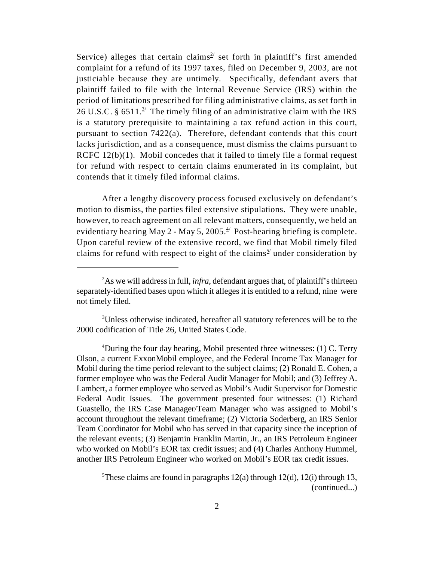Service) alleges that certain claims<sup>2</sup> set forth in plaintiff's first amended complaint for a refund of its 1997 taxes, filed on December 9, 2003, are not justiciable because they are untimely. Specifically, defendant avers that plaintiff failed to file with the Internal Revenue Service (IRS) within the period of limitations prescribed for filing administrative claims, as set forth in 26 U.S.C. § 6511.<sup>3/</sup> The timely filing of an administrative claim with the IRS is a statutory prerequisite to maintaining a tax refund action in this court, pursuant to section 7422(a). Therefore, defendant contends that this court lacks jurisdiction, and as a consequence, must dismiss the claims pursuant to RCFC 12(b)(1). Mobil concedes that it failed to timely file a formal request for refund with respect to certain claims enumerated in its complaint, but contends that it timely filed informal claims.

After a lengthy discovery process focused exclusively on defendant's motion to dismiss, the parties filed extensive stipulations. They were unable, however, to reach agreement on all relevant matters, consequently, we held an evidentiary hearing May 2 - May 5, 2005. $\frac{4}{7}$  Post-hearing briefing is complete. Upon careful review of the extensive record, we find that Mobil timely filed claims for refund with respect to eight of the claims<sup> $5/$ </sup> under consideration by

<sup>&</sup>lt;sup>2</sup>As we will address in full, *infra*, defendant argues that, of plaintiff's thirteen separately-identified bases upon which it alleges it is entitled to a refund, nine were not timely filed.

<sup>&</sup>lt;sup>3</sup>Unless otherwise indicated, hereafter all statutory references will be to the 2000 codification of Title 26, United States Code.

<sup>&</sup>lt;sup>4</sup>During the four day hearing, Mobil presented three witnesses: (1) C. Terry Olson, a current ExxonMobil employee, and the Federal Income Tax Manager for Mobil during the time period relevant to the subject claims; (2) Ronald E. Cohen, a former employee who was the Federal Audit Manager for Mobil; and (3) Jeffrey A. Lambert, a former employee who served as Mobil's Audit Supervisor for Domestic Federal Audit Issues. The government presented four witnesses: (1) Richard Guastello, the IRS Case Manager/Team Manager who was assigned to Mobil's account throughout the relevant timeframe; (2) Victoria Soderberg, an IRS Senior Team Coordinator for Mobil who has served in that capacity since the inception of the relevant events; (3) Benjamin Franklin Martin, Jr., an IRS Petroleum Engineer who worked on Mobil's EOR tax credit issues; and (4) Charles Anthony Hummel, another IRS Petroleum Engineer who worked on Mobil's EOR tax credit issues.

<sup>&</sup>lt;sup>5</sup>These claims are found in paragraphs  $12(a)$  through  $12(d)$ ,  $12(i)$  through 13, (continued...)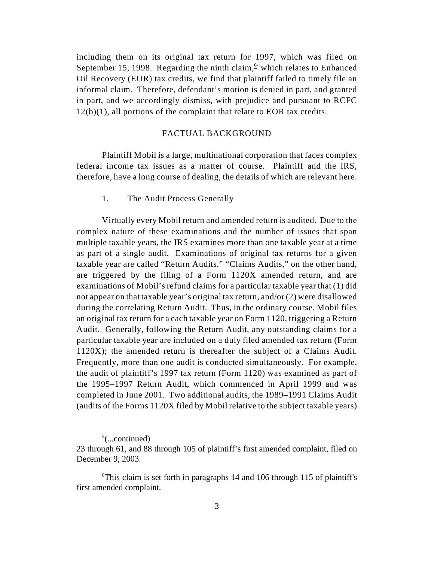including them on its original tax return for 1997, which was filed on September 15, 1998. Regarding the ninth claim,  $\frac{6}{5}$  which relates to Enhanced Oil Recovery (EOR) tax credits, we find that plaintiff failed to timely file an informal claim. Therefore, defendant's motion is denied in part, and granted in part, and we accordingly dismiss, with prejudice and pursuant to RCFC  $12(b)(1)$ , all portions of the complaint that relate to EOR tax credits.

### FACTUAL BACKGROUND

Plaintiff Mobil is a large, multinational corporation that faces complex federal income tax issues as a matter of course. Plaintiff and the IRS, therefore, have a long course of dealing, the details of which are relevant here.

1. The Audit Process Generally

Virtually every Mobil return and amended return is audited. Due to the complex nature of these examinations and the number of issues that span multiple taxable years, the IRS examines more than one taxable year at a time as part of a single audit. Examinations of original tax returns for a given taxable year are called "Return Audits." "Claims Audits," on the other hand, are triggered by the filing of a Form 1120X amended return, and are examinations of Mobil's refund claims for a particular taxable year that (1) did not appear on that taxable year's original tax return, and/or (2) were disallowed during the correlating Return Audit. Thus, in the ordinary course, Mobil files an original tax return for a each taxable year on Form 1120, triggering a Return Audit. Generally, following the Return Audit, any outstanding claims for a particular taxable year are included on a duly filed amended tax return (Form 1120X); the amended return is thereafter the subject of a Claims Audit. Frequently, more than one audit is conducted simultaneously. For example, the audit of plaintiff's 1997 tax return (Form 1120) was examined as part of the 1995–1997 Return Audit, which commenced in April 1999 and was completed in June 2001. Two additional audits, the 1989–1991 Claims Audit (audits of the Forms 1120X filed by Mobil relative to the subject taxable years)

 $5$ (...continued)

<sup>23</sup> through 61, and 88 through 105 of plaintiff's first amended complaint, filed on December 9, 2003.

 $\sigma$ This claim is set forth in paragraphs 14 and 106 through 115 of plaintiff's first amended complaint.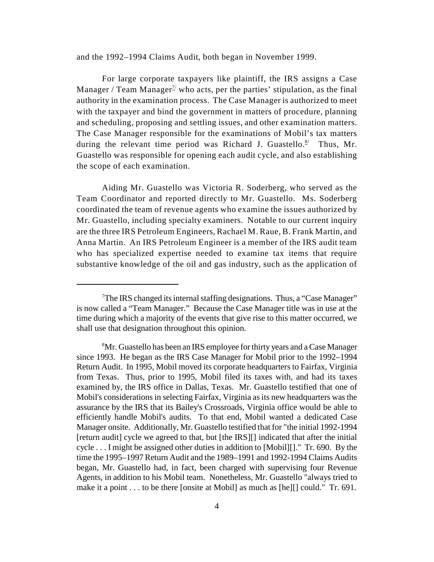and the 1992–1994 Claims Audit, both began in November 1999.

For large corporate taxpayers like plaintiff, the IRS assigns a Case Manager / Team Manager<sup> $2$ </sup> who acts, per the parties' stipulation, as the final authority in the examination process. The Case Manager is authorized to meet with the taxpayer and bind the government in matters of procedure, planning and scheduling, proposing and settling issues, and other examination matters. The Case Manager responsible for the examinations of Mobil's tax matters during the relevant time period was Richard J. Guastello. $\frac{8}{7}$  Thus, Mr. Guastello was responsible for opening each audit cycle, and also establishing the scope of each examination.

Aiding Mr. Guastello was Victoria R. Soderberg, who served as the Team Coordinator and reported directly to Mr. Guastello. Ms. Soderberg coordinated the team of revenue agents who examine the issues authorized by Mr. Guastello, including specialty examiners. Notable to our current inquiry are the three IRS Petroleum Engineers, Rachael M. Raue, B. Frank Martin, and Anna Martin. An IRS Petroleum Engineer is a member of the IRS audit team who has specialized expertise needed to examine tax items that require substantive knowledge of the oil and gas industry, such as the application of

<sup>&</sup>lt;sup>7</sup>The IRS changed its internal staffing designations. Thus, a "Case Manager" is now called a "Team Manager." Because the Case Manager title was in use at the time during which a majority of the events that give rise to this matter occurred, we shall use that designation throughout this opinion.

<sup>&</sup>lt;sup>8</sup>Mr. Guastello has been an IRS employee for thirty years and a Case Manager since 1993. He began as the IRS Case Manager for Mobil prior to the 1992–1994 Return Audit. In 1995, Mobil moved its corporate headquarters to Fairfax, Virginia from Texas. Thus, prior to 1995, Mobil filed its taxes with, and had its taxes examined by, the IRS office in Dallas, Texas. Mr. Guastello testified that one of Mobil's considerations in selecting Fairfax, Virginia as its new headquarters was the assurance by the IRS that its Bailey's Crossroads, Virginia office would be able to efficiently handle Mobil's audits. To that end, Mobil wanted a dedicated Case Manager onsite. Additionally, Mr. Guastello testified that for "the initial 1992-1994 [return audit] cycle we agreed to that, but [the IRS][] indicated that after the initial cycle . . . I might be assigned other duties in addition to [Mobil][]." Tr. 690. By the time the 1995–1997 Return Audit and the 1989–1991 and 1992-1994 Claims Audits began, Mr. Guastello had, in fact, been charged with supervising four Revenue Agents, in addition to his Mobil team. Nonetheless, Mr. Guastello "always tried to make it a point . . . to be there [onsite at Mobil] as much as [he][] could." Tr. 691.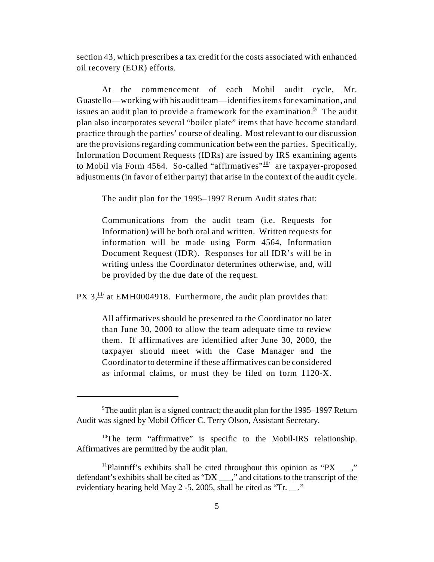section 43, which prescribes a tax credit for the costs associated with enhanced oil recovery (EOR) efforts.

At the commencement of each Mobil audit cycle, Mr. Guastello—working with his audit team—identifies items for examination, and issues an audit plan to provide a framework for the examination.<sup>2/</sup> The audit plan also incorporates several "boiler plate" items that have become standard practice through the parties' course of dealing. Most relevant to our discussion are the provisions regarding communication between the parties. Specifically, Information Document Requests (IDRs) are issued by IRS examining agents to Mobil via Form 4564. So-called "affirmatives" $\frac{10}{2}$  are taxpayer-proposed adjustments (in favor of either party) that arise in the context of the audit cycle.

The audit plan for the 1995–1997 Return Audit states that:

Communications from the audit team (i.e. Requests for Information) will be both oral and written. Written requests for information will be made using Form 4564, Information Document Request (IDR). Responses for all IDR's will be in writing unless the Coordinator determines otherwise, and, will be provided by the due date of the request.

PX  $3, \frac{11}{11}$  at EMH0004918. Furthermore, the audit plan provides that:

All affirmatives should be presented to the Coordinator no later than June 30, 2000 to allow the team adequate time to review them. If affirmatives are identified after June 30, 2000, the taxpayer should meet with the Case Manager and the Coordinator to determine if these affirmatives can be considered as informal claims, or must they be filed on form 1120-X.

<sup>&</sup>lt;sup>9</sup>The audit plan is a signed contract; the audit plan for the 1995–1997 Return Audit was signed by Mobil Officer C. Terry Olson, Assistant Secretary.

 $10$ <sup>10</sup>The term "affirmative" is specific to the Mobil-IRS relationship. Affirmatives are permitted by the audit plan.

<sup>&</sup>lt;sup>11</sup>Plaintiff's exhibits shall be cited throughout this opinion as "PX  $\frac{1}{2}$ " defendant's exhibits shall be cited as "DX" ." and citations to the transcript of the evidentiary hearing held May 2 -5, 2005, shall be cited as "Tr. \_\_."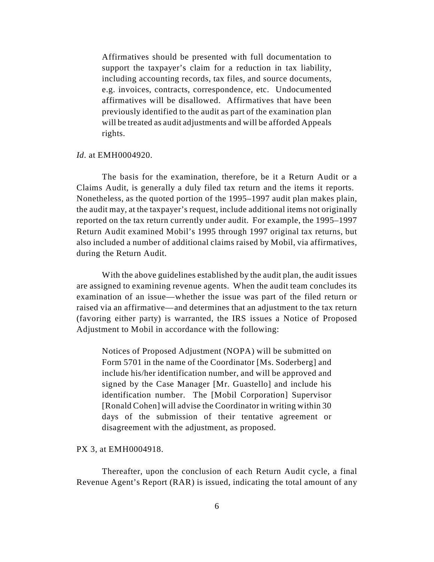Affirmatives should be presented with full documentation to support the taxpayer's claim for a reduction in tax liability, including accounting records, tax files, and source documents, e.g. invoices, contracts, correspondence, etc. Undocumented affirmatives will be disallowed. Affirmatives that have been previously identified to the audit as part of the examination plan will be treated as audit adjustments and will be afforded Appeals rights.

#### *Id.* at EMH0004920.

The basis for the examination, therefore, be it a Return Audit or a Claims Audit, is generally a duly filed tax return and the items it reports. Nonetheless, as the quoted portion of the 1995–1997 audit plan makes plain, the audit may, at the taxpayer's request, include additional items not originally reported on the tax return currently under audit. For example, the 1995–1997 Return Audit examined Mobil's 1995 through 1997 original tax returns, but also included a number of additional claims raised by Mobil, via affirmatives, during the Return Audit.

With the above guidelines established by the audit plan, the audit issues are assigned to examining revenue agents. When the audit team concludes its examination of an issue—whether the issue was part of the filed return or raised via an affirmative—and determines that an adjustment to the tax return (favoring either party) is warranted, the IRS issues a Notice of Proposed Adjustment to Mobil in accordance with the following:

Notices of Proposed Adjustment (NOPA) will be submitted on Form 5701 in the name of the Coordinator [Ms. Soderberg] and include his/her identification number, and will be approved and signed by the Case Manager [Mr. Guastello] and include his identification number. The [Mobil Corporation] Supervisor [Ronald Cohen] will advise the Coordinator in writing within 30 days of the submission of their tentative agreement or disagreement with the adjustment, as proposed.

# PX 3, at EMH0004918.

Thereafter, upon the conclusion of each Return Audit cycle, a final Revenue Agent's Report (RAR) is issued, indicating the total amount of any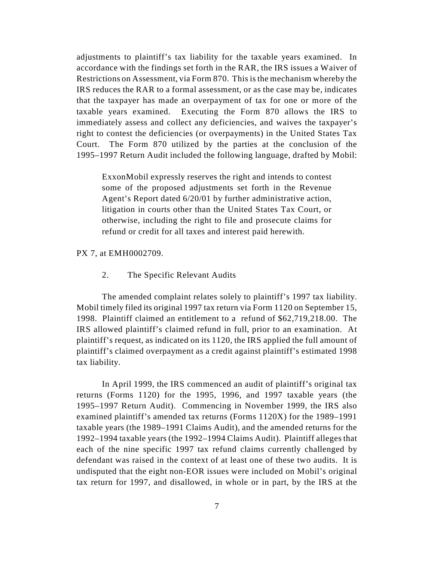adjustments to plaintiff's tax liability for the taxable years examined. In accordance with the findings set forth in the RAR, the IRS issues a Waiver of Restrictions on Assessment, via Form 870. This is the mechanism whereby the IRS reduces the RAR to a formal assessment, or as the case may be, indicates that the taxpayer has made an overpayment of tax for one or more of the taxable years examined. Executing the Form 870 allows the IRS to immediately assess and collect any deficiencies, and waives the taxpayer's right to contest the deficiencies (or overpayments) in the United States Tax Court. The Form 870 utilized by the parties at the conclusion of the 1995–1997 Return Audit included the following language, drafted by Mobil:

ExxonMobil expressly reserves the right and intends to contest some of the proposed adjustments set forth in the Revenue Agent's Report dated 6/20/01 by further administrative action, litigation in courts other than the United States Tax Court, or otherwise, including the right to file and prosecute claims for refund or credit for all taxes and interest paid herewith.

### PX 7, at EMH0002709.

2. The Specific Relevant Audits

The amended complaint relates solely to plaintiff's 1997 tax liability. Mobil timely filed its original 1997 tax return via Form 1120 on September 15, 1998. Plaintiff claimed an entitlement to a refund of \$62,719,218.00. The IRS allowed plaintiff's claimed refund in full, prior to an examination. At plaintiff's request, as indicated on its 1120, the IRS applied the full amount of plaintiff's claimed overpayment as a credit against plaintiff's estimated 1998 tax liability.

In April 1999, the IRS commenced an audit of plaintiff's original tax returns (Forms 1120) for the 1995, 1996, and 1997 taxable years (the 1995–1997 Return Audit). Commencing in November 1999, the IRS also examined plaintiff's amended tax returns (Forms 1120X) for the 1989–1991 taxable years (the 1989–1991 Claims Audit), and the amended returns for the 1992–1994 taxable years (the 1992–1994 Claims Audit). Plaintiff alleges that each of the nine specific 1997 tax refund claims currently challenged by defendant was raised in the context of at least one of these two audits. It is undisputed that the eight non-EOR issues were included on Mobil's original tax return for 1997, and disallowed, in whole or in part, by the IRS at the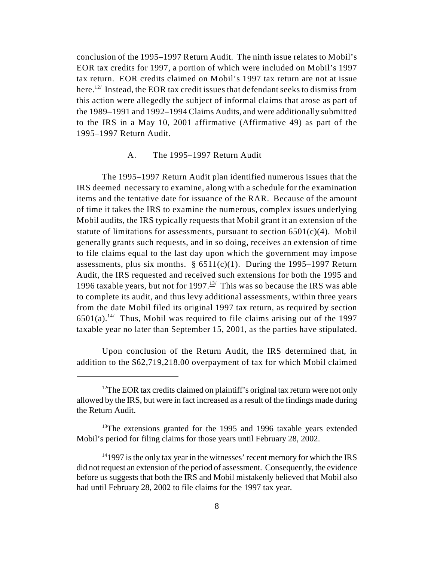conclusion of the 1995–1997 Return Audit. The ninth issue relates to Mobil's EOR tax credits for 1997, a portion of which were included on Mobil's 1997 tax return. EOR credits claimed on Mobil's 1997 tax return are not at issue here.  $12$ <sup>2</sup> Instead, the EOR tax credit issues that defendant seeks to dismiss from this action were allegedly the subject of informal claims that arose as part of the 1989–1991 and 1992–1994 Claims Audits, and were additionally submitted to the IRS in a May 10, 2001 affirmative (Affirmative 49) as part of the 1995–1997 Return Audit.

### A. The 1995–1997 Return Audit

The 1995–1997 Return Audit plan identified numerous issues that the IRS deemed necessary to examine, along with a schedule for the examination items and the tentative date for issuance of the RAR. Because of the amount of time it takes the IRS to examine the numerous, complex issues underlying Mobil audits, the IRS typically requests that Mobil grant it an extension of the statute of limitations for assessments, pursuant to section  $6501(c)(4)$ . Mobil generally grants such requests, and in so doing, receives an extension of time to file claims equal to the last day upon which the government may impose assessments, plus six months.  $\S$  6511(c)(1). During the 1995–1997 Return Audit, the IRS requested and received such extensions for both the 1995 and 1996 taxable years, but not for 1997.<sup>13/</sup> This was so because the IRS was able to complete its audit, and thus levy additional assessments, within three years from the date Mobil filed its original 1997 tax return, as required by section  $6501(a).$ <sup>14</sup> Thus, Mobil was required to file claims arising out of the 1997 taxable year no later than September 15, 2001, as the parties have stipulated.

Upon conclusion of the Return Audit, the IRS determined that, in addition to the \$62,719,218.00 overpayment of tax for which Mobil claimed

 $12$ The EOR tax credits claimed on plaintiff's original tax return were not only allowed by the IRS, but were in fact increased as a result of the findings made during the Return Audit.

 $13$ The extensions granted for the 1995 and 1996 taxable years extended Mobil's period for filing claims for those years until February 28, 2002.

 $141997$  is the only tax year in the witnesses' recent memory for which the IRS did not request an extension of the period of assessment. Consequently, the evidence before us suggests that both the IRS and Mobil mistakenly believed that Mobil also had until February 28, 2002 to file claims for the 1997 tax year.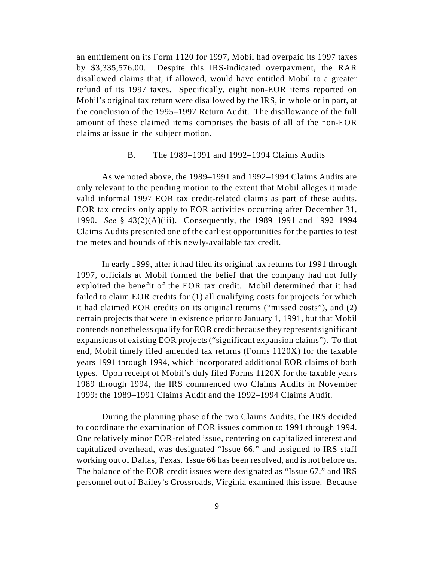an entitlement on its Form 1120 for 1997, Mobil had overpaid its 1997 taxes by \$3,335,576.00. Despite this IRS-indicated overpayment, the RAR disallowed claims that, if allowed, would have entitled Mobil to a greater refund of its 1997 taxes. Specifically, eight non-EOR items reported on Mobil's original tax return were disallowed by the IRS, in whole or in part, at the conclusion of the 1995–1997 Return Audit. The disallowance of the full amount of these claimed items comprises the basis of all of the non-EOR claims at issue in the subject motion.

### B. The 1989–1991 and 1992–1994 Claims Audits

As we noted above, the 1989–1991 and 1992–1994 Claims Audits are only relevant to the pending motion to the extent that Mobil alleges it made valid informal 1997 EOR tax credit-related claims as part of these audits. EOR tax credits only apply to EOR activities occurring after December 31, 1990. *See* § 43(2)(A)(iii). Consequently, the 1989–1991 and 1992–1994 Claims Audits presented one of the earliest opportunities for the parties to test the metes and bounds of this newly-available tax credit.

In early 1999, after it had filed its original tax returns for 1991 through 1997, officials at Mobil formed the belief that the company had not fully exploited the benefit of the EOR tax credit. Mobil determined that it had failed to claim EOR credits for (1) all qualifying costs for projects for which it had claimed EOR credits on its original returns ("missed costs"), and (2) certain projects that were in existence prior to January 1, 1991, but that Mobil contends nonetheless qualify for EOR credit because they represent significant expansions of existing EOR projects ("significant expansion claims"). To that end, Mobil timely filed amended tax returns (Forms 1120X) for the taxable years 1991 through 1994, which incorporated additional EOR claims of both types. Upon receipt of Mobil's duly filed Forms 1120X for the taxable years 1989 through 1994, the IRS commenced two Claims Audits in November 1999: the 1989–1991 Claims Audit and the 1992–1994 Claims Audit.

During the planning phase of the two Claims Audits, the IRS decided to coordinate the examination of EOR issues common to 1991 through 1994. One relatively minor EOR-related issue, centering on capitalized interest and capitalized overhead, was designated "Issue 66," and assigned to IRS staff working out of Dallas, Texas. Issue 66 has been resolved, and is not before us. The balance of the EOR credit issues were designated as "Issue 67," and IRS personnel out of Bailey's Crossroads, Virginia examined this issue. Because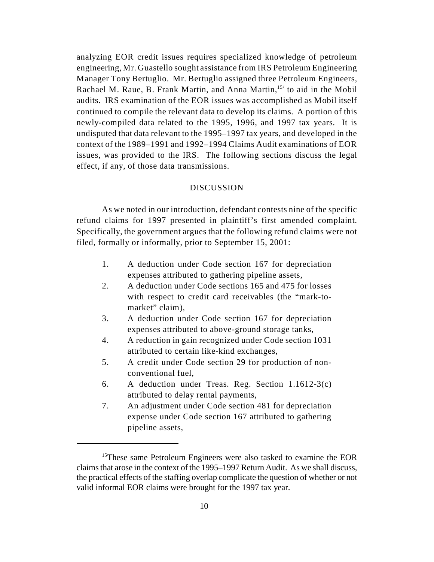analyzing EOR credit issues requires specialized knowledge of petroleum engineering, Mr. Guastello sought assistance from IRS Petroleum Engineering Manager Tony Bertuglio. Mr. Bertuglio assigned three Petroleum Engineers, Rachael M. Raue, B. Frank Martin, and Anna Martin,  $15/15$  to aid in the Mobil audits. IRS examination of the EOR issues was accomplished as Mobil itself continued to compile the relevant data to develop its claims. A portion of this newly-compiled data related to the 1995, 1996, and 1997 tax years. It is undisputed that data relevant to the 1995–1997 tax years, and developed in the context of the 1989–1991 and 1992–1994 Claims Audit examinations of EOR issues, was provided to the IRS. The following sections discuss the legal effect, if any, of those data transmissions.

### **DISCUSSION**

As we noted in our introduction, defendant contests nine of the specific refund claims for 1997 presented in plaintiff's first amended complaint. Specifically, the government argues that the following refund claims were not filed, formally or informally, prior to September 15, 2001:

- 1. A deduction under Code section 167 for depreciation expenses attributed to gathering pipeline assets,
- 2. A deduction under Code sections 165 and 475 for losses with respect to credit card receivables (the "mark-tomarket" claim),
- 3. A deduction under Code section 167 for depreciation expenses attributed to above-ground storage tanks,
- 4. A reduction in gain recognized under Code section 1031 attributed to certain like-kind exchanges,
- 5. A credit under Code section 29 for production of nonconventional fuel,
- 6. A deduction under Treas. Reg. Section 1.1612-3(c) attributed to delay rental payments,
- 7. An adjustment under Code section 481 for depreciation expense under Code section 167 attributed to gathering pipeline assets,

 $15$ These same Petroleum Engineers were also tasked to examine the EOR claims that arose in the context of the 1995–1997 Return Audit. As we shall discuss, the practical effects of the staffing overlap complicate the question of whether or not valid informal EOR claims were brought for the 1997 tax year.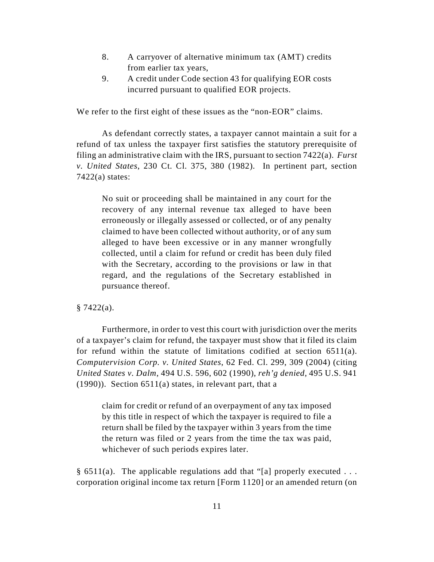- 8. A carryover of alternative minimum tax (AMT) credits from earlier tax years,
- 9. A credit under Code section 43 for qualifying EOR costs incurred pursuant to qualified EOR projects.

We refer to the first eight of these issues as the "non-EOR" claims.

As defendant correctly states, a taxpayer cannot maintain a suit for a refund of tax unless the taxpayer first satisfies the statutory prerequisite of filing an administrative claim with the IRS, pursuant to section 7422(a). *Furst v. United States*, 230 Ct. Cl. 375, 380 (1982). In pertinent part, section  $7422(a)$  states:

No suit or proceeding shall be maintained in any court for the recovery of any internal revenue tax alleged to have been erroneously or illegally assessed or collected, or of any penalty claimed to have been collected without authority, or of any sum alleged to have been excessive or in any manner wrongfully collected, until a claim for refund or credit has been duly filed with the Secretary, according to the provisions or law in that regard, and the regulations of the Secretary established in pursuance thereof.

### $§ 7422(a).$

Furthermore, in order to vest this court with jurisdiction over the merits of a taxpayer's claim for refund, the taxpayer must show that it filed its claim for refund within the statute of limitations codified at section 6511(a). *Computervision Corp. v. United States*, 62 Fed. Cl. 299, 309 (2004) (citing *United States v. Dalm*, 494 U.S. 596, 602 (1990), *reh'g denied*, 495 U.S. 941 (1990)). Section 6511(a) states, in relevant part, that a

claim for credit or refund of an overpayment of any tax imposed by this title in respect of which the taxpayer is required to file a return shall be filed by the taxpayer within 3 years from the time the return was filed or 2 years from the time the tax was paid, whichever of such periods expires later.

§ 6511(a). The applicable regulations add that "[a] properly executed  $\dots$ corporation original income tax return [Form 1120] or an amended return (on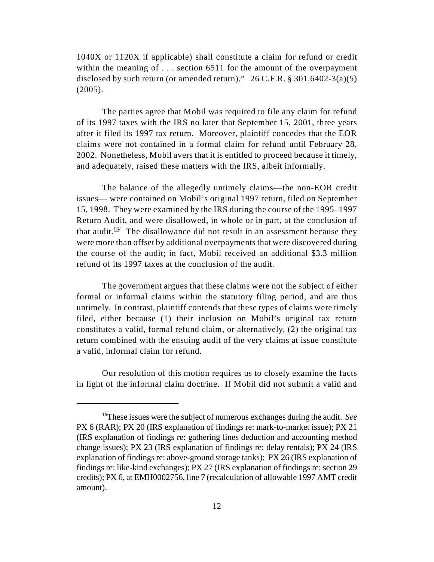1040X or 1120X if applicable) shall constitute a claim for refund or credit within the meaning of . . . section 6511 for the amount of the overpayment disclosed by such return (or amended return)."  $26$  C.F.R. § 301.6402-3(a)(5) (2005).

The parties agree that Mobil was required to file any claim for refund of its 1997 taxes with the IRS no later that September 15, 2001, three years after it filed its 1997 tax return. Moreover, plaintiff concedes that the EOR claims were not contained in a formal claim for refund until February 28, 2002. Nonetheless, Mobil avers that it is entitled to proceed because it timely, and adequately, raised these matters with the IRS, albeit informally.

The balance of the allegedly untimely claims—the non-EOR credit issues— were contained on Mobil's original 1997 return, filed on September 15, 1998. They were examined by the IRS during the course of the 1995–1997 Return Audit, and were disallowed, in whole or in part, at the conclusion of that audit.<sup>16</sup> The disallowance did not result in an assessment because they were more than offset by additional overpayments that were discovered during the course of the audit; in fact, Mobil received an additional \$3.3 million refund of its 1997 taxes at the conclusion of the audit.

The government argues that these claims were not the subject of either formal or informal claims within the statutory filing period, and are thus untimely. In contrast, plaintiff contends that these types of claims were timely filed, either because (1) their inclusion on Mobil's original tax return constitutes a valid, formal refund claim, or alternatively, (2) the original tax return combined with the ensuing audit of the very claims at issue constitute a valid, informal claim for refund.

Our resolution of this motion requires us to closely examine the facts in light of the informal claim doctrine. If Mobil did not submit a valid and

<sup>&</sup>lt;sup>16</sup>These issues were the subject of numerous exchanges during the audit. *See* PX 6 (RAR); PX 20 (IRS explanation of findings re: mark-to-market issue); PX 21 (IRS explanation of findings re: gathering lines deduction and accounting method change issues); PX 23 (IRS explanation of findings re: delay rentals); PX 24 (IRS explanation of findings re: above-ground storage tanks); PX 26 (IRS explanation of findings re: like-kind exchanges); PX 27 (IRS explanation of findings re: section 29 credits); PX 6, at EMH0002756, line 7 (recalculation of allowable 1997 AMT credit amount).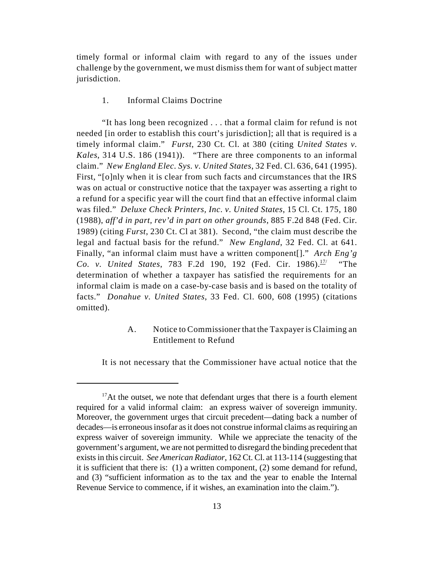timely formal or informal claim with regard to any of the issues under challenge by the government, we must dismiss them for want of subject matter jurisdiction.

### 1. Informal Claims Doctrine

"It has long been recognized . . . that a formal claim for refund is not needed [in order to establish this court's jurisdiction]; all that is required is a timely informal claim." *Furst*, 230 Ct. Cl. at 380 (citing *United States v. Kales*, 314 U.S. 186 (1941)). "There are three components to an informal claim." *New England Elec. Sys. v. United States*, 32 Fed. Cl. 636, 641 (1995). First, "[o]nly when it is clear from such facts and circumstances that the IRS was on actual or constructive notice that the taxpayer was asserting a right to a refund for a specific year will the court find that an effective informal claim was filed." *Deluxe Check Printers, Inc. v. United States*, 15 Cl. Ct. 175, 180 (1988), *aff'd in part, rev'd in part on other grounds*, 885 F.2d 848 (Fed. Cir. 1989) (citing *Furst*, 230 Ct. Cl at 381). Second, "the claim must describe the legal and factual basis for the refund." *New England*, 32 Fed. Cl. at 641. Finally, "an informal claim must have a written component[]." *Arch Eng'g Co. v. United States, 783 F.2d 190, 192 (Fed. Cir. 1986).*<sup>17/</sup> "The determination of whether a taxpayer has satisfied the requirements for an informal claim is made on a case-by-case basis and is based on the totality of facts." *Donahue v. United States*, 33 Fed. Cl. 600, 608 (1995) (citations omitted).

# A. Notice to Commissioner that the Taxpayer is Claiming an Entitlement to Refund

It is not necessary that the Commissioner have actual notice that the

 $17$ At the outset, we note that defendant urges that there is a fourth element required for a valid informal claim: an express waiver of sovereign immunity. Moreover, the government urges that circuit precedent—dating back a number of decades—is erroneous insofar as it does not construe informal claims as requiring an express waiver of sovereign immunity. While we appreciate the tenacity of the government's argument, we are not permitted to disregard the binding precedent that exists in this circuit. *See American Radiator*, 162 Ct. Cl. at 113-114 (suggesting that it is sufficient that there is: (1) a written component, (2) some demand for refund, and (3) "sufficient information as to the tax and the year to enable the Internal Revenue Service to commence, if it wishes, an examination into the claim.").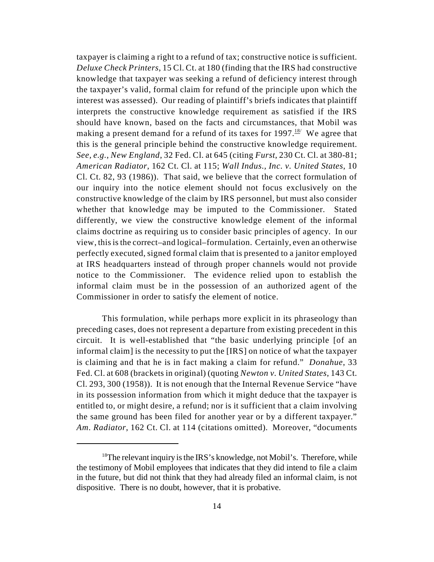taxpayer is claiming a right to a refund of tax; constructive notice is sufficient. *Deluxe Check Printers*, 15 Cl. Ct. at 180 (finding that the IRS had constructive knowledge that taxpayer was seeking a refund of deficiency interest through the taxpayer's valid, formal claim for refund of the principle upon which the interest was assessed). Our reading of plaintiff's briefs indicates that plaintiff interprets the constructive knowledge requirement as satisfied if the IRS should have known, based on the facts and circumstances, that Mobil was making a present demand for a refund of its taxes for 1997.<sup>18/</sup> We agree that this is the general principle behind the constructive knowledge requirement. *See, e.g.*, *New England*, 32 Fed. Cl. at 645 (citing *Furst*, 230 Ct. Cl. at 380-81; *American Radiator*, 162 Ct. Cl. at 115; *Wall Indus., Inc. v. United States*, 10 Cl. Ct. 82, 93 (1986)). That said, we believe that the correct formulation of our inquiry into the notice element should not focus exclusively on the constructive knowledge of the claim by IRS personnel, but must also consider whether that knowledge may be imputed to the Commissioner. Stated differently, we view the constructive knowledge element of the informal claims doctrine as requiring us to consider basic principles of agency. In our view, this is the correct–and logical–formulation. Certainly, even an otherwise perfectly executed, signed formal claim that is presented to a janitor employed at IRS headquarters instead of through proper channels would not provide notice to the Commissioner. The evidence relied upon to establish the informal claim must be in the possession of an authorized agent of the Commissioner in order to satisfy the element of notice.

This formulation, while perhaps more explicit in its phraseology than preceding cases, does not represent a departure from existing precedent in this circuit. It is well-established that "the basic underlying principle [of an informal claim] is the necessity to put the [IRS] on notice of what the taxpayer is claiming and that he is in fact making a claim for refund." *Donahue*, 33 Fed. Cl. at 608 (brackets in original) (quoting *Newton v. United States*, 143 Ct. Cl. 293, 300 (1958)). It is not enough that the Internal Revenue Service "have in its possession information from which it might deduce that the taxpayer is entitled to, or might desire, a refund; nor is it sufficient that a claim involving the same ground has been filed for another year or by a different taxpayer." *Am. Radiator*, 162 Ct. Cl. at 114 (citations omitted). Moreover, "documents

 $18$ The relevant inquiry is the IRS's knowledge, not Mobil's. Therefore, while the testimony of Mobil employees that indicates that they did intend to file a claim in the future, but did not think that they had already filed an informal claim, is not dispositive. There is no doubt, however, that it is probative.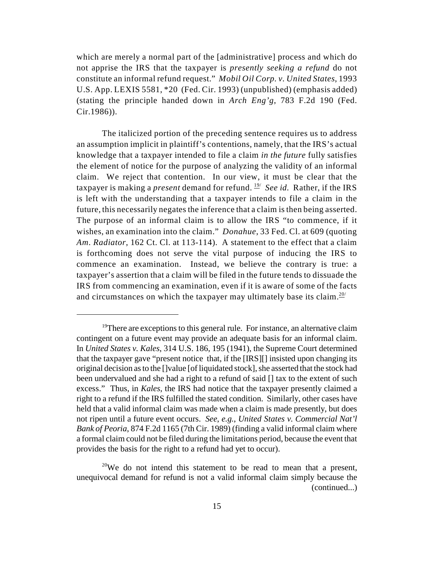which are merely a normal part of the [administrative] process and which do not apprise the IRS that the taxpayer is *presently seeking a refund* do not constitute an informal refund request." *Mobil Oil Corp. v. United States*, 1993 U.S. App. LEXIS 5581, \*20 (Fed. Cir. 1993) (unpublished) (emphasis added) (stating the principle handed down in *Arch Eng'g*, 783 F.2d 190 (Fed. Cir.1986)).

The italicized portion of the preceding sentence requires us to address an assumption implicit in plaintiff's contentions, namely, that the IRS's actual knowledge that a taxpayer intended to file a claim *in the future* fully satisfies the element of notice for the purpose of analyzing the validity of an informal claim. We reject that contention. In our view, it must be clear that the taxpayer is making a *present* demand for refund.  $\frac{19}{2}$  *See id.* Rather, if the IRS is left with the understanding that a taxpayer intends to file a claim in the future, this necessarily negates the inference that a claim is then being asserted. The purpose of an informal claim is to allow the IRS "to commence, if it wishes, an examination into the claim." *Donahue*, 33 Fed. Cl. at 609 (quoting *Am. Radiator*, 162 Ct. Cl. at 113-114). A statement to the effect that a claim is forthcoming does not serve the vital purpose of inducing the IRS to commence an examination. Instead, we believe the contrary is true: a taxpayer's assertion that a claim will be filed in the future tends to dissuade the IRS from commencing an examination, even if it is aware of some of the facts and circumstances on which the taxpayer may ultimately base its claim. $20/2$ 

<sup>&</sup>lt;sup>19</sup>There are exceptions to this general rule. For instance, an alternative claim contingent on a future event may provide an adequate basis for an informal claim. In *United States v. Kales*, 314 U.S. 186, 195 (1941), the Supreme Court determined that the taxpayer gave "present notice that, if the [IRS][] insisted upon changing its original decision as to the []value [of liquidated stock], she asserted that the stock had been undervalued and she had a right to a refund of said [] tax to the extent of such excess." Thus, in *Kales*, the IRS had notice that the taxpayer presently claimed a right to a refund if the IRS fulfilled the stated condition. Similarly, other cases have held that a valid informal claim was made when a claim is made presently, but does not ripen until a future event occurs. *See*, *e.g.*, *United States v. Commercial Nat'l Bank of Peoria*, 874 F.2d 1165 (7th Cir. 1989) (finding a valid informal claim where a formal claim could not be filed during the limitations period, because the event that provides the basis for the right to a refund had yet to occur).

<sup>&</sup>lt;sup>20</sup>We do not intend this statement to be read to mean that a present, unequivocal demand for refund is not a valid informal claim simply because the (continued...)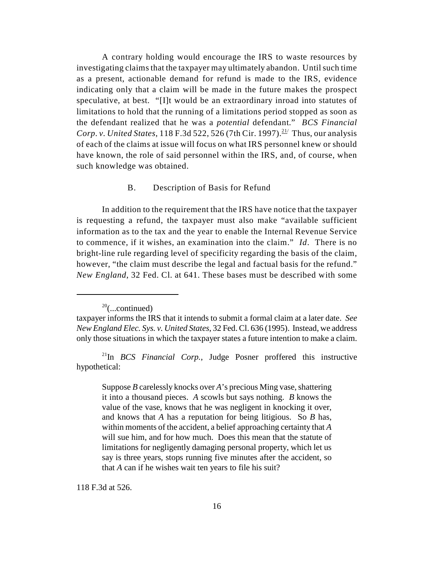A contrary holding would encourage the IRS to waste resources by investigating claims that the taxpayer may ultimately abandon. Until such time as a present, actionable demand for refund is made to the IRS, evidence indicating only that a claim will be made in the future makes the prospect speculative, at best. "[I]t would be an extraordinary inroad into statutes of limitations to hold that the running of a limitations period stopped as soon as the defendant realized that he was a *potential* defendant." *BCS Financial Corp. v. United States,* 118 F.3d 522, 526 (7th Cir. 1997).<sup>21</sup> Thus, our analysis of each of the claims at issue will focus on what IRS personnel knew or should have known, the role of said personnel within the IRS, and, of course, when such knowledge was obtained.

### B. Description of Basis for Refund

In addition to the requirement that the IRS have notice that the taxpayer is requesting a refund, the taxpayer must also make "available sufficient information as to the tax and the year to enable the Internal Revenue Service to commence, if it wishes, an examination into the claim." *Id*. There is no bright-line rule regarding level of specificity regarding the basis of the claim, however, "the claim must describe the legal and factual basis for the refund." *New England*, 32 Fed. Cl. at 641. These bases must be described with some

118 F.3d at 526.

 $20$ (...continued)

taxpayer informs the IRS that it intends to submit a formal claim at a later date. *See New England Elec. Sys. v. United States*, 32 Fed. Cl. 636 (1995). Instead, we address only those situations in which the taxpayer states a future intention to make a claim.

 $^{21}$ In *BCS Financial Corp.*, Judge Posner proffered this instructive hypothetical:

Suppose *B* carelessly knocks over *A*'s precious Ming vase, shattering it into a thousand pieces. *A* scowls but says nothing. *B* knows the value of the vase, knows that he was negligent in knocking it over, and knows that *A* has a reputation for being litigious. So *B* has, within moments of the accident, a belief approaching certainty that *A* will sue him, and for how much. Does this mean that the statute of limitations for negligently damaging personal property, which let us say is three years, stops running five minutes after the accident, so that *A* can if he wishes wait ten years to file his suit?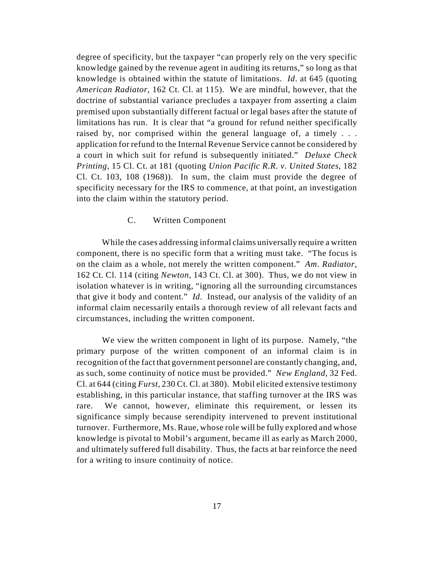degree of specificity, but the taxpayer "can properly rely on the very specific knowledge gained by the revenue agent in auditing its returns," so long as that knowledge is obtained within the statute of limitations. *Id*. at 645 (quoting *American Radiator*, 162 Ct. Cl. at 115). We are mindful, however, that the doctrine of substantial variance precludes a taxpayer from asserting a claim premised upon substantially different factual or legal bases after the statute of limitations has run. It is clear that "a ground for refund neither specifically raised by, nor comprised within the general language of, a timely . . . application for refund to the Internal Revenue Service cannot be considered by a court in which suit for refund is subsequently initiated." *Deluxe Check Printing*, 15 Cl. Ct. at 181 (quoting *Union Pacific R.R. v. United States*, 182 Cl. Ct. 103, 108 (1968)). In sum, the claim must provide the degree of specificity necessary for the IRS to commence, at that point, an investigation into the claim within the statutory period.

# C. Written Component

While the cases addressing informal claims universally require a written component, there is no specific form that a writing must take. "The focus is on the claim as a whole, not merely the written component." *Am. Radiator*, 162 Ct. Cl. 114 (citing *Newton*, 143 Ct. Cl. at 300). Thus, we do not view in isolation whatever is in writing, "ignoring all the surrounding circumstances that give it body and content." *Id.* Instead, our analysis of the validity of an informal claim necessarily entails a thorough review of all relevant facts and circumstances, including the written component.

We view the written component in light of its purpose. Namely, "the primary purpose of the written component of an informal claim is in recognition of the fact that government personnel are constantly changing, and, as such, some continuity of notice must be provided." *New England*, 32 Fed. Cl. at 644 (citing *Furst*, 230 Ct. Cl. at 380). Mobil elicited extensive testimony establishing, in this particular instance, that staffing turnover at the IRS was rare. We cannot, however, eliminate this requirement, or lessen its significance simply because serendipity intervened to prevent institutional turnover. Furthermore, Ms. Raue, whose role will be fully explored and whose knowledge is pivotal to Mobil's argument, became ill as early as March 2000, and ultimately suffered full disability. Thus, the facts at bar reinforce the need for a writing to insure continuity of notice.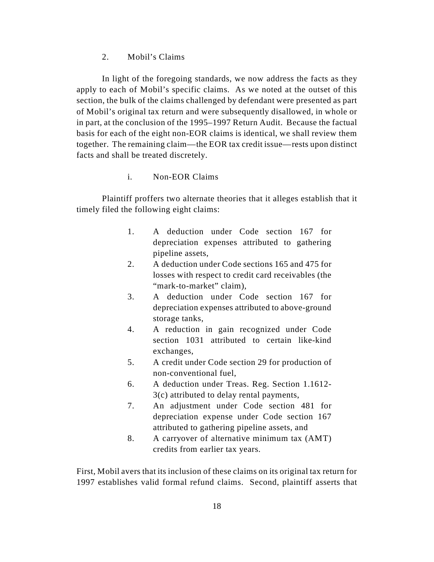2. Mobil's Claims

In light of the foregoing standards, we now address the facts as they apply to each of Mobil's specific claims. As we noted at the outset of this section, the bulk of the claims challenged by defendant were presented as part of Mobil's original tax return and were subsequently disallowed, in whole or in part, at the conclusion of the 1995–1997 Return Audit. Because the factual basis for each of the eight non-EOR claims is identical, we shall review them together. The remaining claim—the EOR tax credit issue—rests upon distinct facts and shall be treated discretely.

# i. Non-EOR Claims

Plaintiff proffers two alternate theories that it alleges establish that it timely filed the following eight claims:

- 1. A deduction under Code section 167 for depreciation expenses attributed to gathering pipeline assets,
- 2. A deduction under Code sections 165 and 475 for losses with respect to credit card receivables (the "mark-to-market" claim).
- 3. A deduction under Code section 167 for depreciation expenses attributed to above-ground storage tanks,
- 4. A reduction in gain recognized under Code section 1031 attributed to certain like-kind exchanges,
- 5. A credit under Code section 29 for production of non-conventional fuel,
- 6. A deduction under Treas. Reg. Section 1.1612- 3(c) attributed to delay rental payments,
- 7. An adjustment under Code section 481 for depreciation expense under Code section 167 attributed to gathering pipeline assets, and
- 8. A carryover of alternative minimum tax (AMT) credits from earlier tax years.

First, Mobil avers that its inclusion of these claims on its original tax return for 1997 establishes valid formal refund claims. Second, plaintiff asserts that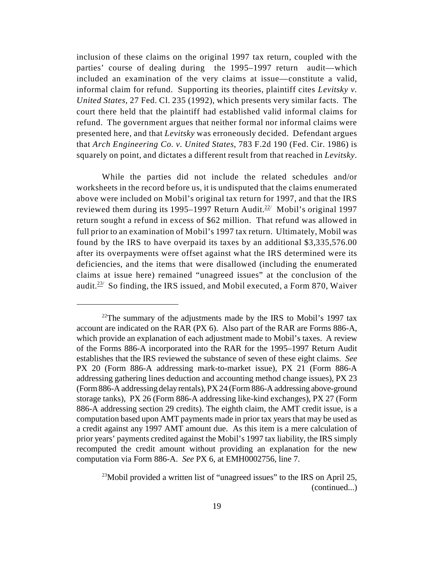inclusion of these claims on the original 1997 tax return, coupled with the parties' course of dealing during the 1995–1997 return audit—which included an examination of the very claims at issue—constitute a valid, informal claim for refund. Supporting its theories, plaintiff cites *Levitsky v. United States*, 27 Fed. Cl. 235 (1992), which presents very similar facts. The court there held that the plaintiff had established valid informal claims for refund. The government argues that neither formal nor informal claims were presented here, and that *Levitsky* was erroneously decided. Defendant argues that *Arch Engineering Co. v. United States*, 783 F.2d 190 (Fed. Cir. 1986) is squarely on point, and dictates a different result from that reached in *Levitsky*.

While the parties did not include the related schedules and/or worksheets in the record before us, it is undisputed that the claims enumerated above were included on Mobil's original tax return for 1997, and that the IRS reviewed them during its 1995–1997 Return Audit.<sup>22/</sup> Mobil's original 1997 return sought a refund in excess of \$62 million. That refund was allowed in full prior to an examination of Mobil's 1997 tax return. Ultimately, Mobil was found by the IRS to have overpaid its taxes by an additional \$3,335,576.00 after its overpayments were offset against what the IRS determined were its deficiencies, and the items that were disallowed (including the enumerated claims at issue here) remained "unagreed issues" at the conclusion of the audit.<sup> $23/3$ </sup> So finding, the IRS issued, and Mobil executed, a Form 870, Waiver

<sup>&</sup>lt;sup>22</sup>The summary of the adjustments made by the IRS to Mobil's 1997 tax account are indicated on the RAR (PX 6). Also part of the RAR are Forms 886-A, which provide an explanation of each adjustment made to Mobil's taxes. A review of the Forms 886-A incorporated into the RAR for the 1995–1997 Return Audit establishes that the IRS reviewed the substance of seven of these eight claims. *See* PX 20 (Form 886-A addressing mark-to-market issue), PX 21 (Form 886-A addressing gathering lines deduction and accounting method change issues), PX 23 (Form 886-A addressing delay rentals), PX 24 (Form 886-A addressing above-ground storage tanks), PX 26 (Form 886-A addressing like-kind exchanges), PX 27 (Form 886-A addressing section 29 credits). The eighth claim, the AMT credit issue, is a computation based upon AMT payments made in prior tax years that may be used as a credit against any 1997 AMT amount due. As this item is a mere calculation of prior years' payments credited against the Mobil's 1997 tax liability, the IRS simply recomputed the credit amount without providing an explanation for the new computation via Form 886-A. *See* PX 6, at EMH0002756, line 7.

<sup>&</sup>lt;sup>23</sup> Mobil provided a written list of "unagreed issues" to the IRS on April 25, (continued...)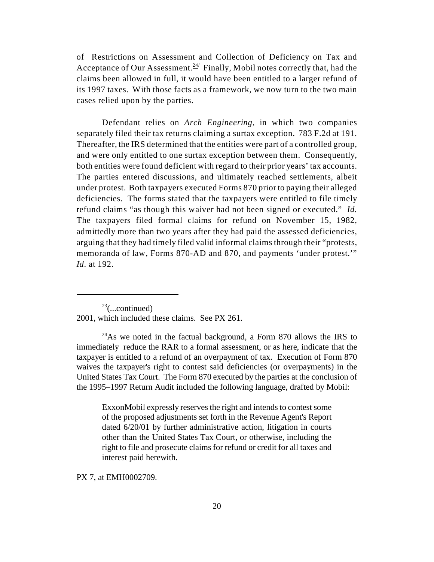of Restrictions on Assessment and Collection of Deficiency on Tax and Acceptance of Our Assessment.<sup> $24$ </sup> Finally, Mobil notes correctly that, had the claims been allowed in full, it would have been entitled to a larger refund of its 1997 taxes. With those facts as a framework, we now turn to the two main cases relied upon by the parties.

Defendant relies on *Arch Engineering*, in which two companies separately filed their tax returns claiming a surtax exception. 783 F.2d at 191. Thereafter, the IRS determined that the entities were part of a controlled group, and were only entitled to one surtax exception between them. Consequently, both entities were found deficient with regard to their prior years' tax accounts. The parties entered discussions, and ultimately reached settlements, albeit under protest. Both taxpayers executed Forms 870 prior to paying their alleged deficiencies. The forms stated that the taxpayers were entitled to file timely refund claims "as though this waiver had not been signed or executed." *Id.* The taxpayers filed formal claims for refund on November 15, 1982, admittedly more than two years after they had paid the assessed deficiencies, arguing that they had timely filed valid informal claims through their "protests, memoranda of law, Forms 870-AD and 870, and payments 'under protest.'" *Id.* at 192.

 $23$ (...continued) 2001, which included these claims. See PX 261.

<sup>24</sup>As we noted in the factual background, a Form 870 allows the IRS to immediately reduce the RAR to a formal assessment, or as here, indicate that the taxpayer is entitled to a refund of an overpayment of tax. Execution of Form 870 waives the taxpayer's right to contest said deficiencies (or overpayments) in the United States Tax Court. The Form 870 executed by the parties at the conclusion of the 1995–1997 Return Audit included the following language, drafted by Mobil:

ExxonMobil expressly reserves the right and intends to contest some of the proposed adjustments set forth in the Revenue Agent's Report dated 6/20/01 by further administrative action, litigation in courts other than the United States Tax Court, or otherwise, including the right to file and prosecute claims for refund or credit for all taxes and interest paid herewith.

PX 7, at EMH0002709.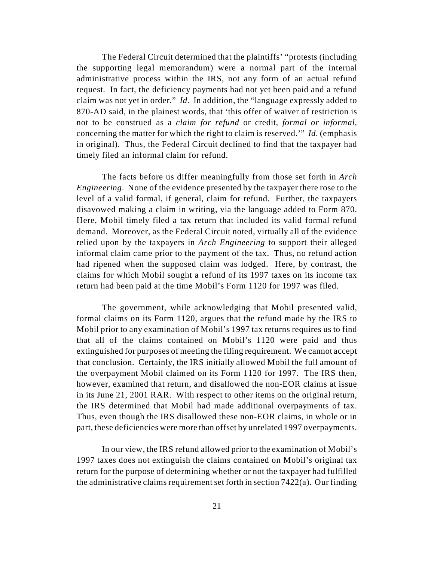The Federal Circuit determined that the plaintiffs' "protests (including the supporting legal memorandum) were a normal part of the internal administrative process within the IRS, not any form of an actual refund request. In fact, the deficiency payments had not yet been paid and a refund claim was not yet in order." *Id.* In addition, the "language expressly added to 870-AD said, in the plainest words, that 'this offer of waiver of restriction is not to be construed as a *claim for refund* or credit, *formal or informal*, concerning the matter for which the right to claim is reserved.'" *Id.* (emphasis in original). Thus, the Federal Circuit declined to find that the taxpayer had timely filed an informal claim for refund.

The facts before us differ meaningfully from those set forth in *Arch Engineering*. None of the evidence presented by the taxpayer there rose to the level of a valid formal, if general, claim for refund. Further, the taxpayers disavowed making a claim in writing, via the language added to Form 870. Here, Mobil timely filed a tax return that included its valid formal refund demand. Moreover, as the Federal Circuit noted, virtually all of the evidence relied upon by the taxpayers in *Arch Engineering* to support their alleged informal claim came prior to the payment of the tax. Thus, no refund action had ripened when the supposed claim was lodged. Here, by contrast, the claims for which Mobil sought a refund of its 1997 taxes on its income tax return had been paid at the time Mobil's Form 1120 for 1997 was filed.

The government, while acknowledging that Mobil presented valid, formal claims on its Form 1120, argues that the refund made by the IRS to Mobil prior to any examination of Mobil's 1997 tax returns requires us to find that all of the claims contained on Mobil's 1120 were paid and thus extinguished for purposes of meeting the filing requirement. We cannot accept that conclusion. Certainly, the IRS initially allowed Mobil the full amount of the overpayment Mobil claimed on its Form 1120 for 1997. The IRS then, however, examined that return, and disallowed the non-EOR claims at issue in its June 21, 2001 RAR. With respect to other items on the original return, the IRS determined that Mobil had made additional overpayments of tax. Thus, even though the IRS disallowed these non-EOR claims, in whole or in part, these deficiencies were more than offset by unrelated 1997 overpayments.

In our view, the IRS refund allowed prior to the examination of Mobil's 1997 taxes does not extinguish the claims contained on Mobil's original tax return for the purpose of determining whether or not the taxpayer had fulfilled the administrative claims requirement set forth in section 7422(a). Our finding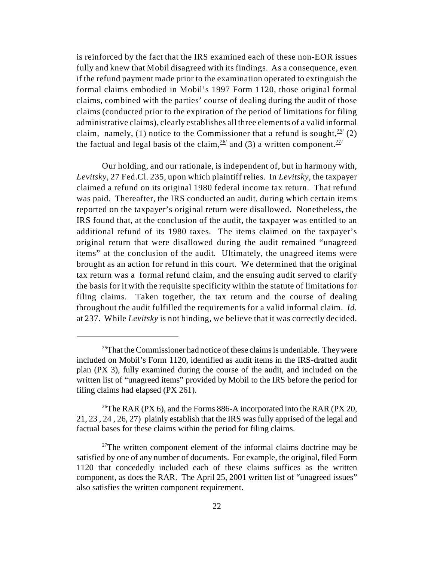is reinforced by the fact that the IRS examined each of these non-EOR issues fully and knew that Mobil disagreed with its findings. As a consequence, even if the refund payment made prior to the examination operated to extinguish the formal claims embodied in Mobil's 1997 Form 1120, those original formal claims, combined with the parties' course of dealing during the audit of those claims (conducted prior to the expiration of the period of limitations for filing administrative claims), clearly establishes all three elements of a valid informal claim, namely, (1) notice to the Commissioner that a refund is sought,  $25/2$ the factual and legal basis of the claim,  $\frac{26}{1}$  and (3) a written component.  $\frac{27}{1}$ 

Our holding, and our rationale, is independent of, but in harmony with, *Levitsky*, 27 Fed.Cl. 235, upon which plaintiff relies. In *Levitsky*, the taxpayer claimed a refund on its original 1980 federal income tax return. That refund was paid. Thereafter, the IRS conducted an audit, during which certain items reported on the taxpayer's original return were disallowed. Nonetheless, the IRS found that, at the conclusion of the audit, the taxpayer was entitled to an additional refund of its 1980 taxes. The items claimed on the taxpayer's original return that were disallowed during the audit remained "unagreed items" at the conclusion of the audit. Ultimately, the unagreed items were brought as an action for refund in this court. We determined that the original tax return was a formal refund claim, and the ensuing audit served to clarify the basis for it with the requisite specificity within the statute of limitations for filing claims. Taken together, the tax return and the course of dealing throughout the audit fulfilled the requirements for a valid informal claim. *Id.* at 237. While *Levitsky* is not binding, we believe that it was correctly decided.

 $25$ That the Commissioner had notice of these claims is undeniable. They were included on Mobil's Form 1120, identified as audit items in the IRS-drafted audit plan (PX 3), fully examined during the course of the audit, and included on the written list of "unagreed items" provided by Mobil to the IRS before the period for filing claims had elapsed (PX 261).

<sup>&</sup>lt;sup>26</sup>The RAR (PX 6), and the Forms 886-A incorporated into the RAR (PX 20, 21, 23 , 24 , 26, 27) plainly establish that the IRS was fully apprised of the legal and factual bases for these claims within the period for filing claims.

 $27$ The written component element of the informal claims doctrine may be satisfied by one of any number of documents. For example, the original, filed Form 1120 that concededly included each of these claims suffices as the written component, as does the RAR. The April 25, 2001 written list of "unagreed issues" also satisfies the written component requirement.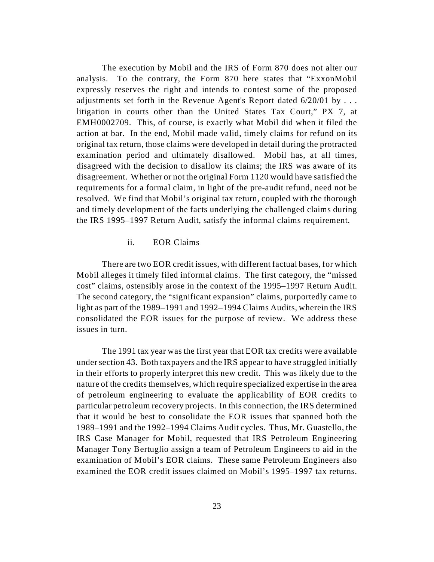The execution by Mobil and the IRS of Form 870 does not alter our analysis. To the contrary, the Form 870 here states that "ExxonMobil expressly reserves the right and intends to contest some of the proposed adjustments set forth in the Revenue Agent's Report dated  $6/20/01$  by ... litigation in courts other than the United States Tax Court," PX 7, at EMH0002709. This, of course, is exactly what Mobil did when it filed the action at bar. In the end, Mobil made valid, timely claims for refund on its original tax return, those claims were developed in detail during the protracted examination period and ultimately disallowed. Mobil has, at all times, disagreed with the decision to disallow its claims; the IRS was aware of its disagreement. Whether or not the original Form 1120 would have satisfied the requirements for a formal claim, in light of the pre-audit refund, need not be resolved. We find that Mobil's original tax return, coupled with the thorough and timely development of the facts underlying the challenged claims during the IRS 1995–1997 Return Audit, satisfy the informal claims requirement.

# ii. EOR Claims

There are two EOR credit issues, with different factual bases, for which Mobil alleges it timely filed informal claims. The first category, the "missed cost" claims, ostensibly arose in the context of the 1995–1997 Return Audit. The second category, the "significant expansion" claims, purportedly came to light as part of the 1989–1991 and 1992–1994 Claims Audits, wherein the IRS consolidated the EOR issues for the purpose of review. We address these issues in turn.

The 1991 tax year was the first year that EOR tax credits were available under section 43. Both taxpayers and the IRS appear to have struggled initially in their efforts to properly interpret this new credit. This was likely due to the nature of the credits themselves, which require specialized expertise in the area of petroleum engineering to evaluate the applicability of EOR credits to particular petroleum recovery projects. In this connection, the IRS determined that it would be best to consolidate the EOR issues that spanned both the 1989–1991 and the 1992–1994 Claims Audit cycles. Thus, Mr. Guastello, the IRS Case Manager for Mobil, requested that IRS Petroleum Engineering Manager Tony Bertuglio assign a team of Petroleum Engineers to aid in the examination of Mobil's EOR claims. These same Petroleum Engineers also examined the EOR credit issues claimed on Mobil's 1995–1997 tax returns.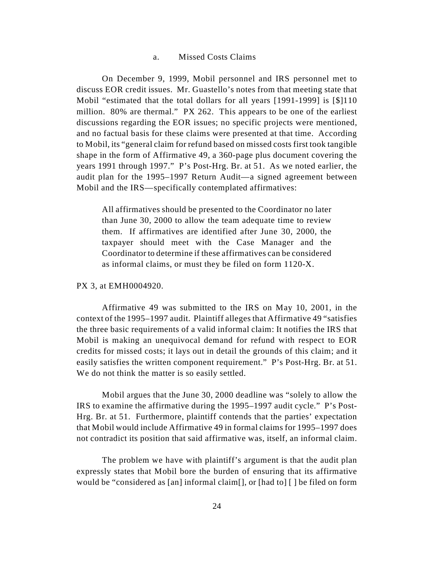### a. Missed Costs Claims

On December 9, 1999, Mobil personnel and IRS personnel met to discuss EOR credit issues. Mr. Guastello's notes from that meeting state that Mobil "estimated that the total dollars for all years [1991-1999] is [\$]110 million. 80% are thermal." PX 262. This appears to be one of the earliest discussions regarding the EOR issues; no specific projects were mentioned, and no factual basis for these claims were presented at that time. According to Mobil, its "general claim for refund based on missed costs first took tangible shape in the form of Affirmative 49, a 360-page plus document covering the years 1991 through 1997." P's Post-Hrg. Br. at 51. As we noted earlier, the audit plan for the 1995–1997 Return Audit—a signed agreement between Mobil and the IRS—specifically contemplated affirmatives:

All affirmatives should be presented to the Coordinator no later than June 30, 2000 to allow the team adequate time to review them. If affirmatives are identified after June 30, 2000, the taxpayer should meet with the Case Manager and the Coordinator to determine if these affirmatives can be considered as informal claims, or must they be filed on form 1120-X.

### PX 3, at EMH0004920.

Affirmative 49 was submitted to the IRS on May 10, 2001, in the context of the 1995–1997 audit. Plaintiff alleges that Affirmative 49 "satisfies the three basic requirements of a valid informal claim: It notifies the IRS that Mobil is making an unequivocal demand for refund with respect to EOR credits for missed costs; it lays out in detail the grounds of this claim; and it easily satisfies the written component requirement." P's Post-Hrg. Br. at 51. We do not think the matter is so easily settled.

Mobil argues that the June 30, 2000 deadline was "solely to allow the IRS to examine the affirmative during the 1995–1997 audit cycle." P's Post-Hrg. Br. at 51. Furthermore, plaintiff contends that the parties' expectation that Mobil would include Affirmative 49 in formal claims for 1995–1997 does not contradict its position that said affirmative was, itself, an informal claim.

The problem we have with plaintiff's argument is that the audit plan expressly states that Mobil bore the burden of ensuring that its affirmative would be "considered as [an] informal claim[], or [had to] [ ] be filed on form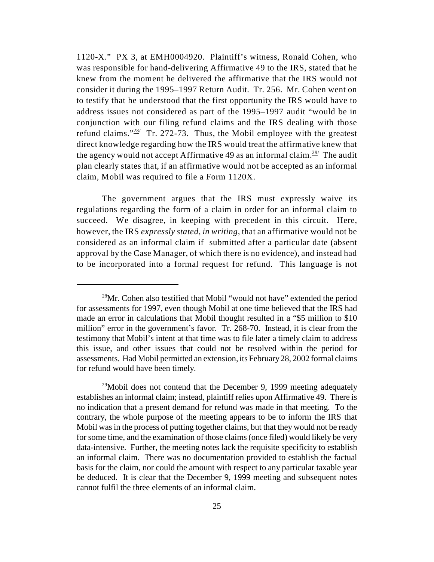1120-X." PX 3, at EMH0004920. Plaintiff's witness, Ronald Cohen, who was responsible for hand-delivering Affirmative 49 to the IRS, stated that he knew from the moment he delivered the affirmative that the IRS would not consider it during the 1995–1997 Return Audit. Tr. 256. Mr. Cohen went on to testify that he understood that the first opportunity the IRS would have to address issues not considered as part of the 1995–1997 audit "would be in conjunction with our filing refund claims and the IRS dealing with those refund claims." $28/2$  Tr. 272-73. Thus, the Mobil employee with the greatest direct knowledge regarding how the IRS would treat the affirmative knew that the agency would not accept Affirmative 49 as an informal claim.<sup>29/</sup> The audit plan clearly states that, if an affirmative would not be accepted as an informal claim, Mobil was required to file a Form 1120X.

The government argues that the IRS must expressly waive its regulations regarding the form of a claim in order for an informal claim to succeed. We disagree, in keeping with precedent in this circuit. Here, however, the IRS *expressly stated*, *in writing*, that an affirmative would not be considered as an informal claim if submitted after a particular date (absent approval by the Case Manager, of which there is no evidence), and instead had to be incorporated into a formal request for refund. This language is not

<sup>&</sup>lt;sup>28</sup>Mr. Cohen also testified that Mobil "would not have" extended the period for assessments for 1997, even though Mobil at one time believed that the IRS had made an error in calculations that Mobil thought resulted in a "\$5 million to \$10 million" error in the government's favor. Tr. 268-70. Instead, it is clear from the testimony that Mobil's intent at that time was to file later a timely claim to address this issue, and other issues that could not be resolved within the period for assessments. Had Mobil permitted an extension, its February 28, 2002 formal claims for refund would have been timely.

 $^{29}$ Mobil does not contend that the December 9, 1999 meeting adequately establishes an informal claim; instead, plaintiff relies upon Affirmative 49. There is no indication that a present demand for refund was made in that meeting. To the contrary, the whole purpose of the meeting appears to be to inform the IRS that Mobil was in the process of putting together claims, but that they would not be ready for some time, and the examination of those claims (once filed) would likely be very data-intensive. Further, the meeting notes lack the requisite specificity to establish an informal claim. There was no documentation provided to establish the factual basis for the claim, nor could the amount with respect to any particular taxable year be deduced. It is clear that the December 9, 1999 meeting and subsequent notes cannot fulfil the three elements of an informal claim.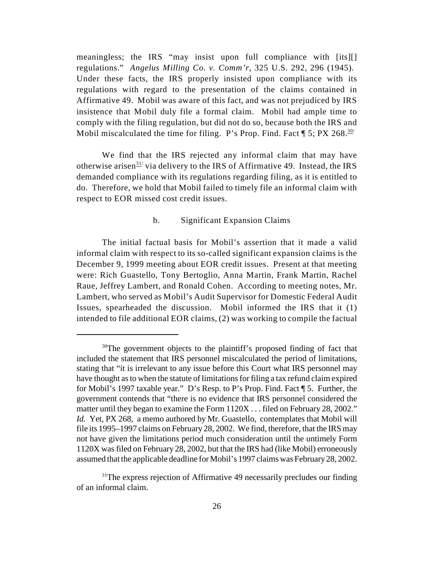meaningless; the IRS "may insist upon full compliance with [its][] regulations." *Angelus Milling Co. v. Comm'r*, 325 U.S. 292, 296 (1945). Under these facts, the IRS properly insisted upon compliance with its regulations with regard to the presentation of the claims contained in Affirmative 49. Mobil was aware of this fact, and was not prejudiced by IRS insistence that Mobil duly file a formal claim. Mobil had ample time to comply with the filing regulation, but did not do so, because both the IRS and Mobil miscalculated the time for filing. P's Prop. Find. Fact  $\P$  5; PX 268.<sup>30/</sup>

We find that the IRS rejected any informal claim that may have otherwise arisen<sup> $31/2$ </sup> via delivery to the IRS of Affirmative 49. Instead, the IRS demanded compliance with its regulations regarding filing, as it is entitled to do. Therefore, we hold that Mobil failed to timely file an informal claim with respect to EOR missed cost credit issues.

# b. Significant Expansion Claims

The initial factual basis for Mobil's assertion that it made a valid informal claim with respect to its so-called significant expansion claims is the December 9, 1999 meeting about EOR credit issues. Present at that meeting were: Rich Guastello, Tony Bertoglio, Anna Martin, Frank Martin, Rachel Raue, Jeffrey Lambert, and Ronald Cohen. According to meeting notes, Mr. Lambert, who served as Mobil's Audit Supervisor for Domestic Federal Audit Issues, spearheaded the discussion. Mobil informed the IRS that it (1) intended to file additional EOR claims, (2) was working to compile the factual

 $30$ The government objects to the plaintiff's proposed finding of fact that included the statement that IRS personnel miscalculated the period of limitations, stating that "it is irrelevant to any issue before this Court what IRS personnel may have thought as to when the statute of limitations for filing a tax refund claim expired for Mobil's 1997 taxable year." D's Resp. to P's Prop. Find. Fact ¶ 5. Further, the government contends that "there is no evidence that IRS personnel considered the matter until they began to examine the Form  $1120X$ ... filed on February 28, 2002." *Id.* Yet, PX 268, a memo authored by Mr. Guastello, contemplates that Mobil will file its 1995–1997 claims on February 28, 2002. We find, therefore, that the IRS may not have given the limitations period much consideration until the untimely Form 1120X was filed on February 28, 2002, but that the IRS had (like Mobil) erroneously assumed that the applicable deadline for Mobil's 1997 claims was February 28, 2002.

 $31$ <sup>1</sup>The express rejection of Affirmative 49 necessarily precludes our finding of an informal claim.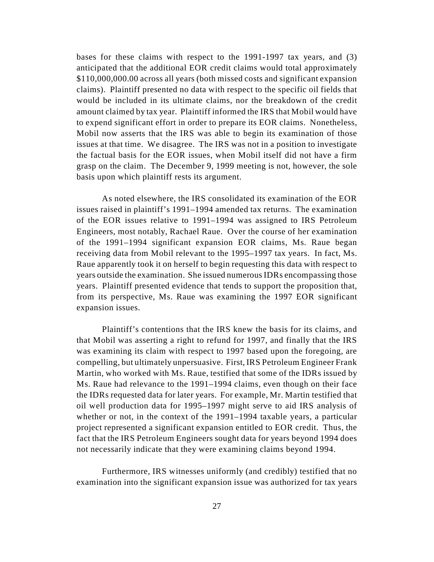bases for these claims with respect to the 1991-1997 tax years, and (3) anticipated that the additional EOR credit claims would total approximately \$110,000,000.00 across all years (both missed costs and significant expansion claims). Plaintiff presented no data with respect to the specific oil fields that would be included in its ultimate claims, nor the breakdown of the credit amount claimed by tax year. Plaintiff informed the IRS that Mobil would have to expend significant effort in order to prepare its EOR claims. Nonetheless, Mobil now asserts that the IRS was able to begin its examination of those issues at that time. We disagree. The IRS was not in a position to investigate the factual basis for the EOR issues, when Mobil itself did not have a firm grasp on the claim. The December 9, 1999 meeting is not, however, the sole basis upon which plaintiff rests its argument.

As noted elsewhere, the IRS consolidated its examination of the EOR issues raised in plaintiff's 1991–1994 amended tax returns. The examination of the EOR issues relative to 1991–1994 was assigned to IRS Petroleum Engineers, most notably, Rachael Raue. Over the course of her examination of the 1991–1994 significant expansion EOR claims, Ms. Raue began receiving data from Mobil relevant to the 1995–1997 tax years. In fact, Ms. Raue apparently took it on herself to begin requesting this data with respect to years outside the examination. She issued numerous IDRs encompassing those years. Plaintiff presented evidence that tends to support the proposition that, from its perspective, Ms. Raue was examining the 1997 EOR significant expansion issues.

Plaintiff's contentions that the IRS knew the basis for its claims, and that Mobil was asserting a right to refund for 1997, and finally that the IRS was examining its claim with respect to 1997 based upon the foregoing, are compelling, but ultimately unpersuasive. First, IRS Petroleum Engineer Frank Martin, who worked with Ms. Raue, testified that some of the IDRs issued by Ms. Raue had relevance to the 1991–1994 claims, even though on their face the IDRs requested data for later years. For example, Mr. Martin testified that oil well production data for 1995–1997 might serve to aid IRS analysis of whether or not, in the context of the 1991–1994 taxable years, a particular project represented a significant expansion entitled to EOR credit. Thus, the fact that the IRS Petroleum Engineers sought data for years beyond 1994 does not necessarily indicate that they were examining claims beyond 1994.

Furthermore, IRS witnesses uniformly (and credibly) testified that no examination into the significant expansion issue was authorized for tax years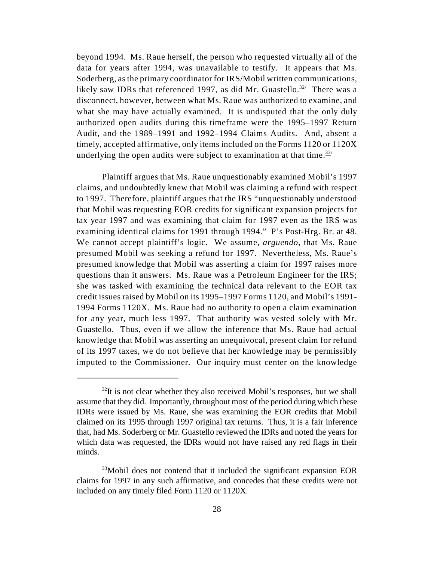beyond 1994. Ms. Raue herself, the person who requested virtually all of the data for years after 1994, was unavailable to testify. It appears that Ms. Soderberg, as the primary coordinator for IRS/Mobil written communications, likely saw IDRs that referenced 1997, as did Mr. Guastello.<sup>32/</sup> There was a disconnect, however, between what Ms. Raue was authorized to examine, and what she may have actually examined. It is undisputed that the only duly authorized open audits during this timeframe were the 1995–1997 Return Audit, and the 1989–1991 and 1992–1994 Claims Audits. And, absent a timely, accepted affirmative, only items included on the Forms 1120 or 1120X underlying the open audits were subject to examination at that time.  $33/2$ 

Plaintiff argues that Ms. Raue unquestionably examined Mobil's 1997 claims, and undoubtedly knew that Mobil was claiming a refund with respect to 1997. Therefore, plaintiff argues that the IRS "unquestionably understood that Mobil was requesting EOR credits for significant expansion projects for tax year 1997 and was examining that claim for 1997 even as the IRS was examining identical claims for 1991 through 1994." P's Post-Hrg. Br. at 48. We cannot accept plaintiff's logic. We assume, *arguendo*, that Ms. Raue presumed Mobil was seeking a refund for 1997. Nevertheless, Ms. Raue's presumed knowledge that Mobil was asserting a claim for 1997 raises more questions than it answers. Ms. Raue was a Petroleum Engineer for the IRS; she was tasked with examining the technical data relevant to the EOR tax credit issues raised by Mobil on its 1995–1997 Forms 1120, and Mobil's 1991- 1994 Forms 1120X. Ms. Raue had no authority to open a claim examination for any year, much less 1997. That authority was vested solely with Mr. Guastello. Thus, even if we allow the inference that Ms. Raue had actual knowledge that Mobil was asserting an unequivocal, present claim for refund of its 1997 taxes, we do not believe that her knowledge may be permissibly imputed to the Commissioner. Our inquiry must center on the knowledge

 $32$ It is not clear whether they also received Mobil's responses, but we shall assume that they did. Importantly, throughout most of the period during which these IDRs were issued by Ms. Raue, she was examining the EOR credits that Mobil claimed on its 1995 through 1997 original tax returns. Thus, it is a fair inference that, had Ms. Soderberg or Mr. Guastello reviewed the IDRs and noted the years for which data was requested, the IDRs would not have raised any red flags in their minds.

 $33$ Mobil does not contend that it included the significant expansion EOR claims for 1997 in any such affirmative, and concedes that these credits were not included on any timely filed Form 1120 or 1120X.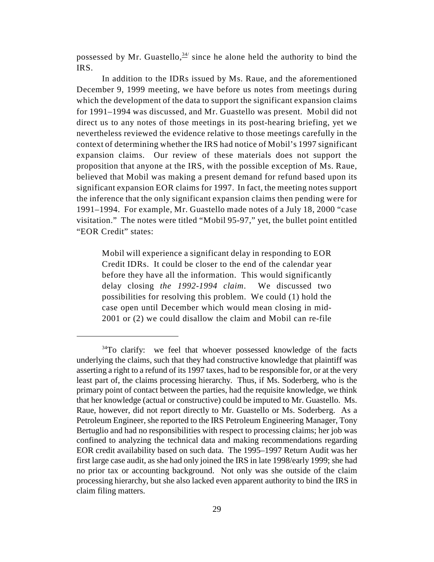possessed by Mr. Guastello,  $34/2$  since he alone held the authority to bind the IRS.

In addition to the IDRs issued by Ms. Raue, and the aforementioned December 9, 1999 meeting, we have before us notes from meetings during which the development of the data to support the significant expansion claims for 1991–1994 was discussed, and Mr. Guastello was present. Mobil did not direct us to any notes of those meetings in its post-hearing briefing, yet we nevertheless reviewed the evidence relative to those meetings carefully in the context of determining whether the IRS had notice of Mobil's 1997 significant expansion claims. Our review of these materials does not support the proposition that anyone at the IRS, with the possible exception of Ms. Raue, believed that Mobil was making a present demand for refund based upon its significant expansion EOR claims for 1997. In fact, the meeting notes support the inference that the only significant expansion claims then pending were for 1991–1994. For example, Mr. Guastello made notes of a July 18, 2000 "case visitation." The notes were titled "Mobil 95-97," yet, the bullet point entitled "EOR Credit" states:

Mobil will experience a significant delay in responding to EOR Credit IDRs. It could be closer to the end of the calendar year before they have all the information. This would significantly delay closing *the 1992-1994 claim*. We discussed two possibilities for resolving this problem. We could (1) hold the case open until December which would mean closing in mid-2001 or (2) we could disallow the claim and Mobil can re-file

 $34$ To clarify: we feel that whoever possessed knowledge of the facts underlying the claims, such that they had constructive knowledge that plaintiff was asserting a right to a refund of its 1997 taxes, had to be responsible for, or at the very least part of, the claims processing hierarchy. Thus, if Ms. Soderberg, who is the primary point of contact between the parties, had the requisite knowledge, we think that her knowledge (actual or constructive) could be imputed to Mr. Guastello. Ms. Raue, however, did not report directly to Mr. Guastello or Ms. Soderberg. As a Petroleum Engineer, she reported to the IRS Petroleum Engineering Manager, Tony Bertuglio and had no responsibilities with respect to processing claims; her job was confined to analyzing the technical data and making recommendations regarding EOR credit availability based on such data. The 1995–1997 Return Audit was her first large case audit, as she had only joined the IRS in late 1998/early 1999; she had no prior tax or accounting background. Not only was she outside of the claim processing hierarchy, but she also lacked even apparent authority to bind the IRS in claim filing matters.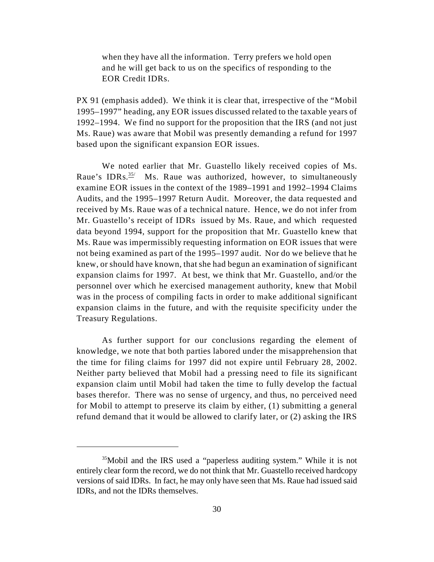when they have all the information. Terry prefers we hold open and he will get back to us on the specifics of responding to the EOR Credit IDRs.

PX 91 (emphasis added). We think it is clear that, irrespective of the "Mobil 1995–1997" heading, any EOR issues discussed related to the taxable years of 1992–1994. We find no support for the proposition that the IRS (and not just Ms. Raue) was aware that Mobil was presently demanding a refund for 1997 based upon the significant expansion EOR issues.

We noted earlier that Mr. Guastello likely received copies of Ms. Raue's IDRs.<sup>35/</sup> Ms. Raue was authorized, however, to simultaneously examine EOR issues in the context of the 1989–1991 and 1992–1994 Claims Audits, and the 1995–1997 Return Audit. Moreover, the data requested and received by Ms. Raue was of a technical nature. Hence, we do not infer from Mr. Guastello's receipt of IDRs issued by Ms. Raue, and which requested data beyond 1994, support for the proposition that Mr. Guastello knew that Ms. Raue was impermissibly requesting information on EOR issues that were not being examined as part of the 1995–1997 audit. Nor do we believe that he knew, or should have known, that she had begun an examination of significant expansion claims for 1997. At best, we think that Mr. Guastello, and/or the personnel over which he exercised management authority, knew that Mobil was in the process of compiling facts in order to make additional significant expansion claims in the future, and with the requisite specificity under the Treasury Regulations.

As further support for our conclusions regarding the element of knowledge, we note that both parties labored under the misapprehension that the time for filing claims for 1997 did not expire until February 28, 2002. Neither party believed that Mobil had a pressing need to file its significant expansion claim until Mobil had taken the time to fully develop the factual bases therefor. There was no sense of urgency, and thus, no perceived need for Mobil to attempt to preserve its claim by either, (1) submitting a general refund demand that it would be allowed to clarify later, or (2) asking the IRS

 $35$ Mobil and the IRS used a "paperless auditing system." While it is not entirely clear form the record, we do not think that Mr. Guastello received hardcopy versions of said IDRs. In fact, he may only have seen that Ms. Raue had issued said IDRs, and not the IDRs themselves.